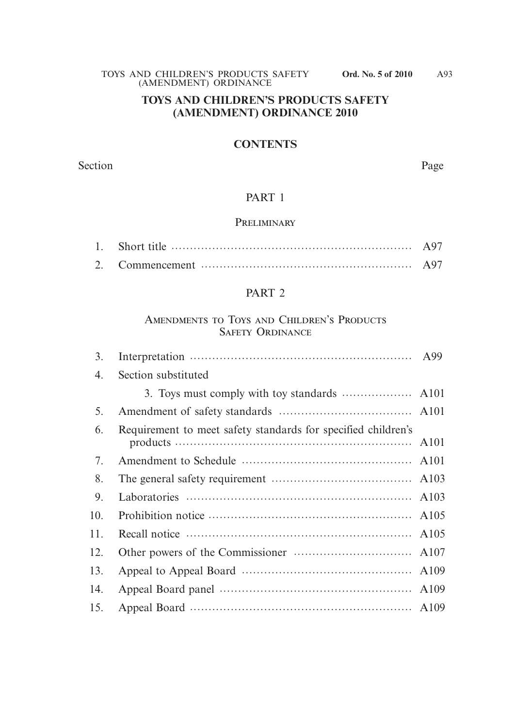#### **TOYS AND CHILDREN'S PRODUCTS SAFETY (AMENDMENT) ORDINANCE 2010**

#### **CONTENTS**

Section Page

## PART 1

#### **PRELIMINARY**

## PART 2

#### AMENDMENTS TO TOYS AND CHILDREN'S PRODUCTS Safety Ordinance

| 3.  |                                                               |  |
|-----|---------------------------------------------------------------|--|
| 4.  | Section substituted                                           |  |
|     |                                                               |  |
| 5.  |                                                               |  |
| 6.  | Requirement to meet safety standards for specified children's |  |
| 7.  |                                                               |  |
| 8.  |                                                               |  |
| 9.  |                                                               |  |
| 10. |                                                               |  |
| 11. |                                                               |  |
| 12. |                                                               |  |
| 13. |                                                               |  |
| 14. |                                                               |  |
| 15. |                                                               |  |
|     |                                                               |  |

A93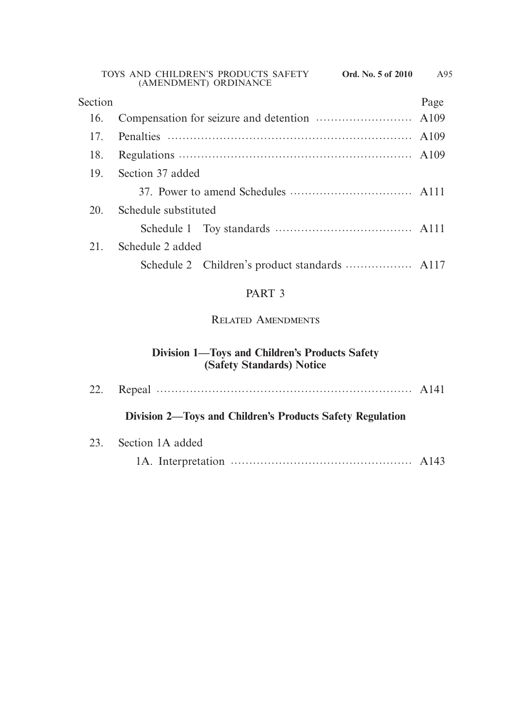| Section |                      | Page |  |  |
|---------|----------------------|------|--|--|
| 16.     |                      |      |  |  |
| 17      |                      |      |  |  |
| 18.     |                      |      |  |  |
| 19.     | Section 37 added     |      |  |  |
|         |                      |      |  |  |
| 20      | Schedule substituted |      |  |  |
|         |                      |      |  |  |
| 21.     | Schedule 2 added     |      |  |  |
|         |                      |      |  |  |
|         |                      |      |  |  |

# PART 3

# Related Amendments

# **Division 1—Toys and Children's Products Safety (Safety Standards) Notice**

|  | Division 2—Toys and Children's Products Safety Regulation |  |
|--|-----------------------------------------------------------|--|
|  | 23. Section 1A added                                      |  |
|  |                                                           |  |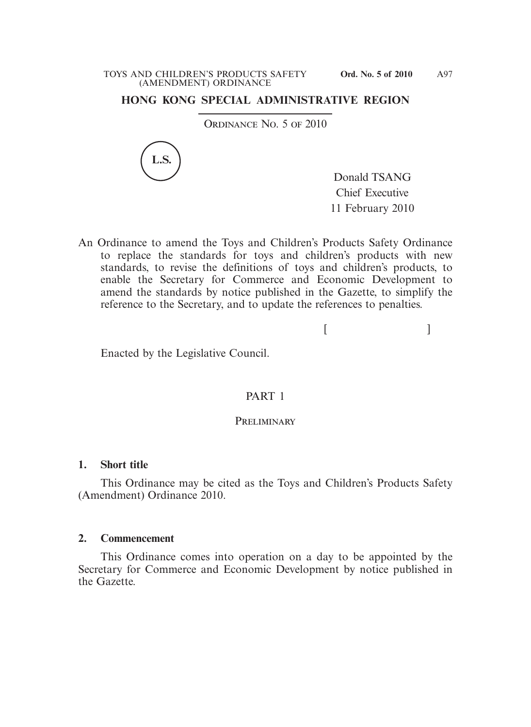#### **HONG KONG SPECIAL ADMINISTRATIVE REGION**

ORDINANCE NO. 5 OF 2010



Donald TSANG Chief Executive 11 February 2010

An Ordinance to amend the Toys and Children's Products Safety Ordinance to replace the standards for toys and children's products with new standards, to revise the definitions of toys and children's products, to enable the Secretary for Commerce and Economic Development to amend the standards by notice published in the Gazette, to simplify the reference to the Secretary, and to update the references to penalties.

 $[$ 

Enacted by the Legislative Council.

#### PART 1

#### PRELIMINARY

#### **1. Short title**

 This Ordinance may be cited as the Toys and Children's Products Safety (Amendment) Ordinance 2010.

#### **2. Commencement**

 This Ordinance comes into operation on a day to be appointed by the Secretary for Commerce and Economic Development by notice published in the Gazette.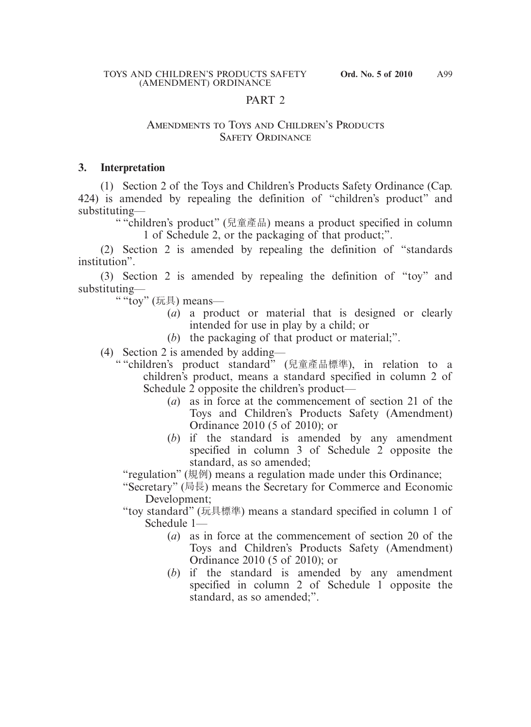#### PART<sub>2</sub>

#### AMENDMENTS TO TOYS AND CHILDREN'S PRODUCTS Safety Ordinance

#### **3. Interpretation**

 (1) Section 2 of the Toys and Children's Products Safety Ordinance (Cap. 424) is amended by repealing the definition of "children's product" and substituting—

" "children's product" (兒童產品) means a product specified in column 1 of Schedule 2, or the packaging of that product;".

 (2) Section 2 is amended by repealing the definition of "standards institution".

 (3) Section 2 is amended by repealing the definition of "toy" and substituting—

" "toy" (玩具) means—

- (*a*) a product or material that is designed or clearly intended for use in play by a child; or
- (*b*) the packaging of that product or material;".
- (4) Section 2 is amended by adding—
	- " "children's product standard" (兒童產品標準), in relation to a children's product, means a standard specified in column 2 of Schedule 2 opposite the children's product—
		- (*a*) as in force at the commencement of section 21 of the Toys and Children's Products Safety (Amendment) Ordinance 2010 (5 of 2010); or
		- (*b*) if the standard is amended by any amendment specified in column 3 of Schedule 2 opposite the standard, as so amended;

"regulation" (規例) means a regulation made under this Ordinance;

"Secretary" (局長) means the Secretary for Commerce and Economic Development;

- "toy standard" (玩具標準) means a standard specified in column 1 of Schedule 1—
	- (*a*) as in force at the commencement of section 20 of the Toys and Children's Products Safety (Amendment) Ordinance 2010 (5 of 2010); or
	- (*b*) if the standard is amended by any amendment specified in column 2 of Schedule 1 opposite the standard, as so amended;".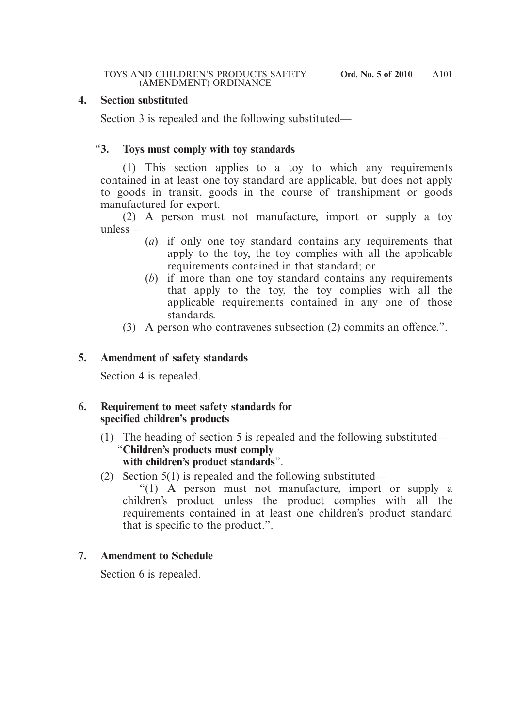#### **4. Section substituted**

Section 3 is repealed and the following substituted—

#### "**3. Toys must comply with toy standards**

 (1) This section applies to a toy to which any requirements contained in at least one toy standard are applicable, but does not apply to goods in transit, goods in the course of transhipment or goods manufactured for export.

 (2) A person must not manufacture, import or supply a toy unless—

- (*a*) if only one toy standard contains any requirements that apply to the toy, the toy complies with all the applicable requirements contained in that standard; or
- (*b*) if more than one toy standard contains any requirements that apply to the toy, the toy complies with all the applicable requirements contained in any one of those standards.
- (3) A person who contravenes subsection (2) commits an offence.".

#### **5. Amendment of safety standards**

Section 4 is repealed.

#### **6. Requirement to meet safety standards for specified children's products**

- (1) The heading of section 5 is repealed and the following substituted— "**Children's products must comply with children's product standards**".
- (2) Section 5(1) is repealed and the following substituted—

 "(1) A person must not manufacture, import or supply a children's product unless the product complies with all the requirements contained in at least one children's product standard that is specific to the product.".

#### **7. Amendment to Schedule**

Section 6 is repealed.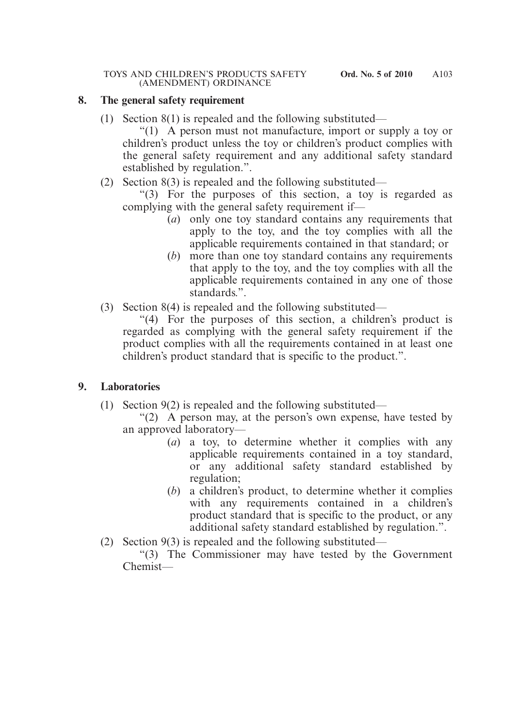#### **8. The general safety requirement**

(1) Section 8(1) is repealed and the following substituted—

 "(1) A person must not manufacture, import or supply a toy or children's product unless the toy or children's product complies with the general safety requirement and any additional safety standard established by regulation.".

(2) Section 8(3) is repealed and the following substituted—

 "(3) For the purposes of this section, a toy is regarded as complying with the general safety requirement if—

- (*a*) only one toy standard contains any requirements that apply to the toy, and the toy complies with all the applicable requirements contained in that standard; or
- (*b*) more than one toy standard contains any requirements that apply to the toy, and the toy complies with all the applicable requirements contained in any one of those standards.".
- (3) Section 8(4) is repealed and the following substituted—

 "(4) For the purposes of this section, a children's product is regarded as complying with the general safety requirement if the product complies with all the requirements contained in at least one children's product standard that is specific to the product.".

#### **9. Laboratories**

- (1) Section 9(2) is repealed and the following substituted—
	- "(2) A person may, at the person's own expense, have tested by an approved laboratory—
		- (*a*) a toy, to determine whether it complies with any applicable requirements contained in a toy standard, or any additional safety standard established by regulation;
		- (*b*) a children's product, to determine whether it complies with any requirements contained in a children's product standard that is specific to the product, or any additional safety standard established by regulation.".
- (2) Section 9(3) is repealed and the following substituted—

 "(3) The Commissioner may have tested by the Government Chemist—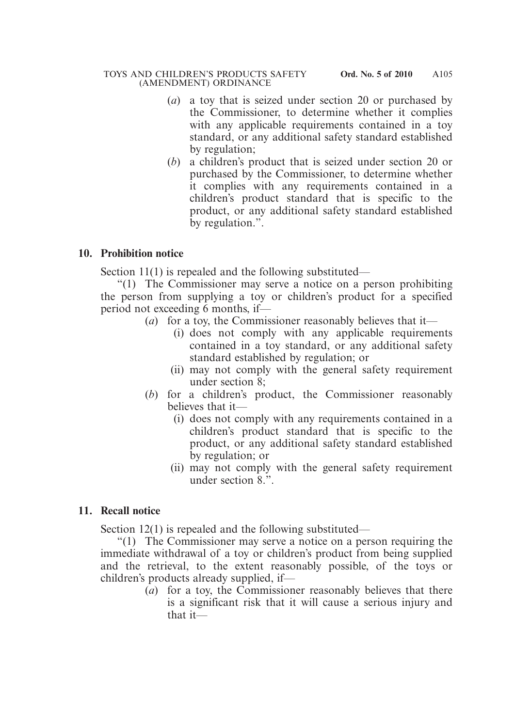- (*a*) a toy that is seized under section 20 or purchased by the Commissioner, to determine whether it complies with any applicable requirements contained in a toy standard, or any additional safety standard established by regulation;
- (*b*) a children's product that is seized under section 20 or purchased by the Commissioner, to determine whether it complies with any requirements contained in a children's product standard that is specific to the product, or any additional safety standard established by regulation.".

#### **10. Prohibition notice**

Section 11(1) is repealed and the following substituted—

 "(1) The Commissioner may serve a notice on a person prohibiting the person from supplying a toy or children's product for a specified period not exceeding 6 months, if—

- (*a*) for a toy, the Commissioner reasonably believes that it—
	- (i) does not comply with any applicable requirements contained in a toy standard, or any additional safety standard established by regulation; or
	- (ii) may not comply with the general safety requirement under section 8;
- (*b*) for a children's product, the Commissioner reasonably believes that it—
	- (i) does not comply with any requirements contained in a children's product standard that is specific to the product, or any additional safety standard established by regulation; or
	- (ii) may not comply with the general safety requirement under section 8.".

# **11. Recall notice**

Section 12(1) is repealed and the following substituted—

 "(1) The Commissioner may serve a notice on a person requiring the immediate withdrawal of a toy or children's product from being supplied and the retrieval, to the extent reasonably possible, of the toys or children's products already supplied, if—

(*a*) for a toy, the Commissioner reasonably believes that there is a significant risk that it will cause a serious injury and that it—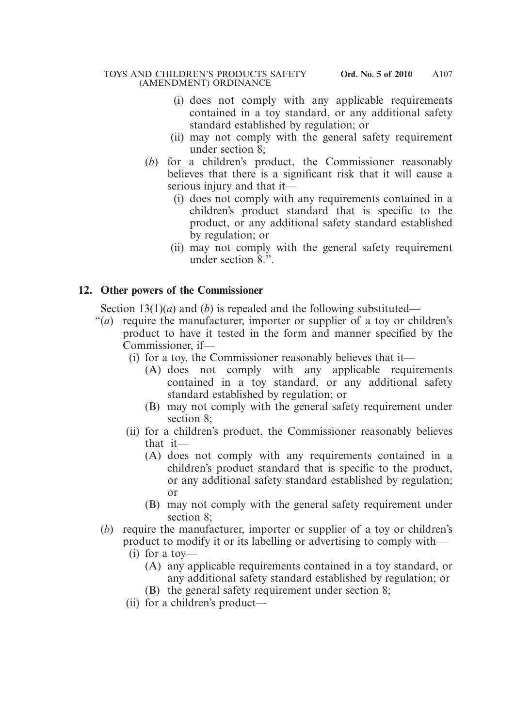- (i) does not comply with any applicable requirements contained in a toy standard, or any additional safety standard established by regulation; or
- (ii) may not comply with the general safety requirement under section 8;
- (*b*) for a children's product, the Commissioner reasonably believes that there is a significant risk that it will cause a serious injury and that it—
	- (i) does not comply with any requirements contained in a children's product standard that is specific to the product, or any additional safety standard established by regulation; or
	- (ii) may not comply with the general safety requirement under section 8.".

# **12. Other powers of the Commissioner**

Section 13(1)(*a*) and (*b*) is repealed and the following substituted—

- "(*a*) require the manufacturer, importer or supplier of a toy or children's product to have it tested in the form and manner specified by the Commissioner, if—
	- (i) for a toy, the Commissioner reasonably believes that it—
		- (A) does not comply with any applicable requirements contained in a toy standard, or any additional safety standard established by regulation; or
		- (B) may not comply with the general safety requirement under section 8;
	- (ii) for a children's product, the Commissioner reasonably believes that it—
		- (A) does not comply with any requirements contained in a children's product standard that is specific to the product, or any additional safety standard established by regulation; or
		- (B) may not comply with the general safety requirement under section 8;
	- (*b*) require the manufacturer, importer or supplier of a toy or children's product to modify it or its labelling or advertising to comply with—
		- (i) for a toy—
			- (A) any applicable requirements contained in a toy standard, or any additional safety standard established by regulation; or
			- (B) the general safety requirement under section 8;
		- (ii) for a children's product—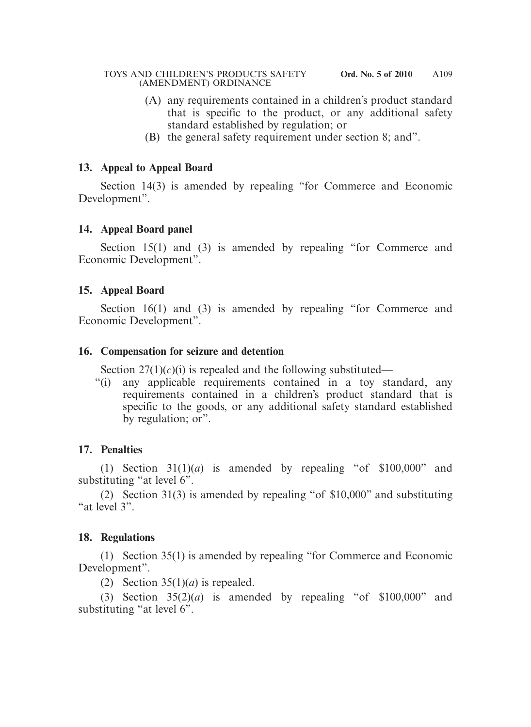- (A) any requirements contained in a children's product standard that is specific to the product, or any additional safety standard established by regulation; or
- (B) the general safety requirement under section 8; and".

#### **13. Appeal to Appeal Board**

 Section 14(3) is amended by repealing "for Commerce and Economic Development".

## **14. Appeal Board panel**

Section 15(1) and (3) is amended by repealing "for Commerce and Economic Development".

## **15. Appeal Board**

Section 16(1) and (3) is amended by repealing "for Commerce and Economic Development".

## **16. Compensation for seizure and detention**

Section  $27(1)(c)(i)$  is repealed and the following substituted—

"(i) any applicable requirements contained in a toy standard, any requirements contained in a children's product standard that is specific to the goods, or any additional safety standard established by regulation; or".

# **17. Penalties**

(1) Section  $31(1)(a)$  is amended by repealing "of  $$100,000$ " and substituting "at level 6".

 (2) Section 31(3) is amended by repealing "of \$10,000" and substituting "at level 3".

# **18. Regulations**

 (1) Section 35(1) is amended by repealing "for Commerce and Economic Development".

(2) Section  $35(1)(a)$  is repealed.

(3) Section  $35(2)(a)$  is amended by repealing "of  $$100,000$ " and substituting "at level 6".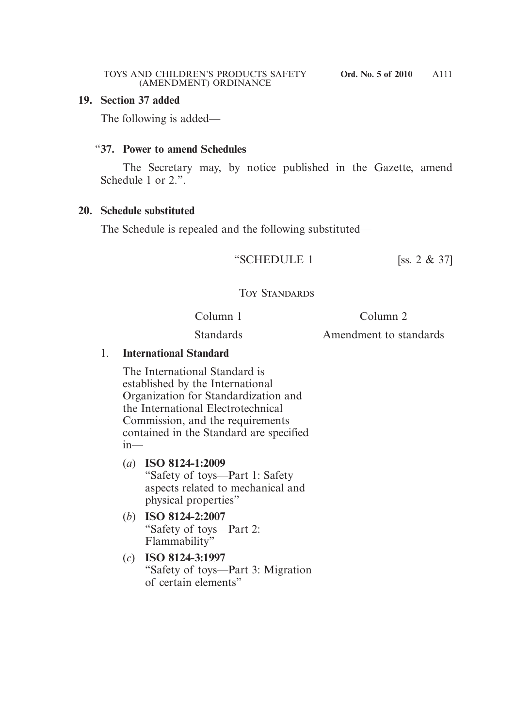#### **19. Section 37 added**

The following is added—

#### "**37. Power to amend Schedules**

 The Secretary may, by notice published in the Gazette, amend Schedule 1 or 2.".

#### **20. Schedule substituted**

The Schedule is repealed and the following substituted—

"SCHEDULE 1 [ss.  $2 \& 37$ ]

# Toy Standards

Column 1

Column 2

Standards

Amendment to standards

## 1. **International Standard**

The International Standard is established by the International Organization for Standardization and the International Electrotechnical Commission, and the requirements contained in the Standard are specified in—

- (*a*) **ISO 8124-1:2009**  "Safety of toys—Part 1: Safety aspects related to mechanical and physical properties"
- (*b*) **ISO 8124-2:2007**  "Safety of toys—Part 2: Flammability"
- (*c*) **ISO 8124-3:1997** "Safety of toys—Part 3: Migration of certain elements"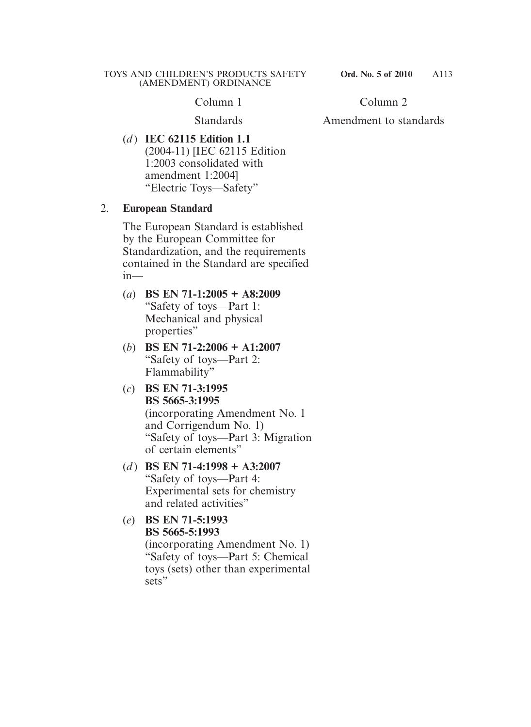Column 1

**Standards** 

Column 2

Amendment to standards

(*d* ) **IEC 62115 Edition 1.1** (2004-11) [IEC 62115 Edition 1:2003 consolidated with amendment 1:2004] "Electric Toys—Safety"

# 2. **European Standard**

The European Standard is established by the European Committee for Standardization, and the requirements contained in the Standard are specified  $in—$ 

- (*a*) **BS EN 71-1:2005 + A8:2009** "Safety of toys—Part 1: Mechanical and physical properties"
- (*b*) **BS EN 71-2:2006 + A1:2007** "Safety of toys—Part 2: Flammability"
- (*c*) **BS EN 71-3:1995 BS 5665-3:1995** (incorporating Amendment No. 1 and Corrigendum No. 1) "Safety of toys—Part 3: Migration of certain elements"
- (*d* ) **BS EN 71-4:1998 + A3:2007** "Safety of toys—Part 4: Experimental sets for chemistry and related activities"
- (*e*) **BS EN 71-5:1993 BS 5665-5:1993** (incorporating Amendment No. 1) "Safety of toys—Part 5: Chemical toys (sets) other than experimental sets"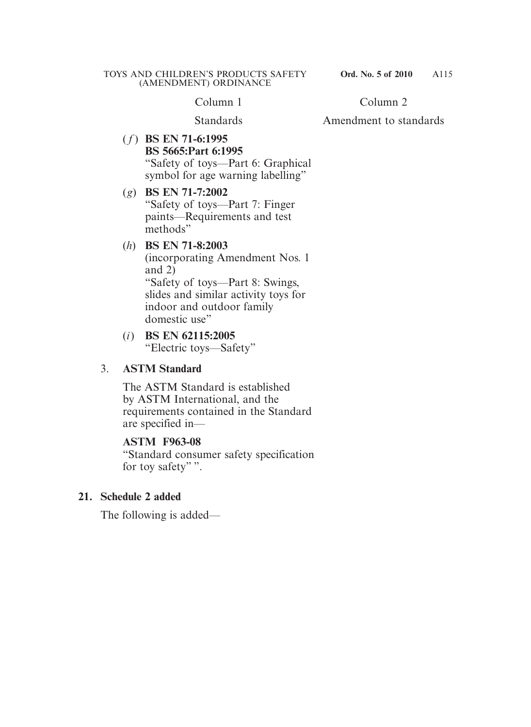Column 1

Standards

Column 2

Amendment to standards

( *f* ) **BS EN 71-6:1995 BS 5665:Part 6:1995** "Safety of toys—Part 6: Graphical symbol for age warning labelling"

#### (*g*) **BS EN 71-7:2002** "Safety of toys—Part 7: Finger paints—Requirements and test methods"

#### (*h*) **BS EN 71-8:2003**

(incorporating Amendment Nos. 1 and 2) "Safety of toys—Part 8: Swings, slides and similar activity toys for indoor and outdoor family domestic use"

#### (*i*) **BS EN 62115:2005** "Electric toys—Safety"

#### 3. **ASTM Standard**

The ASTM Standard is established by ASTM International, and the requirements contained in the Standard are specified in—

#### **ASTM F963-08**

"Standard consumer safety specification for toy safety"".

# **21. Schedule 2 added**

The following is added—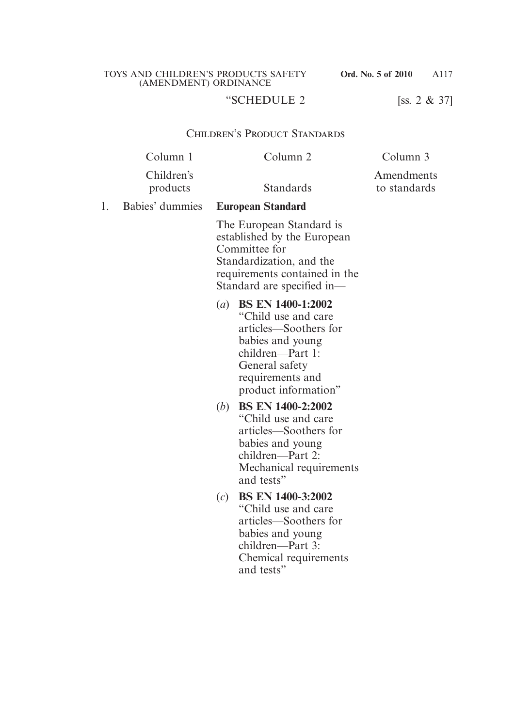A117

# "SCHEDULE 2 [ss. 2 & 37]

#### Children's Product Standards

|    | Column 1               |              | Column <sub>2</sub>                                                                                                                                                          | Column 3                   |
|----|------------------------|--------------|------------------------------------------------------------------------------------------------------------------------------------------------------------------------------|----------------------------|
|    | Children's<br>products |              | Standards                                                                                                                                                                    | Amendments<br>to standards |
| 1. | Babies' dummies        |              | <b>European Standard</b>                                                                                                                                                     |                            |
|    |                        |              | The European Standard is<br>established by the European<br>Committee for<br>Standardization, and the<br>requirements contained in the<br>Standard are specified in-          |                            |
|    |                        |              | (a) BS EN 1400-1:2002<br>"Child use and care"<br>articles—Soothers for<br>babies and young<br>children—Part 1:<br>General safety<br>requirements and<br>product information" |                            |
|    |                        | ( <i>b</i> ) | <b>BS EN 1400-2:2002</b><br>"Child use and care"<br>articles—Soothers for<br>babies and young<br>children—Part 2:<br>Mechanical requirements<br>and tests"                   |                            |
|    |                        | (c)          | <b>BS EN 1400-3:2002</b><br>"Child use and care<br>articles—Soothers for<br>babies and young<br>children—Part 3:<br>Chemical requirements<br>and tests"                      |                            |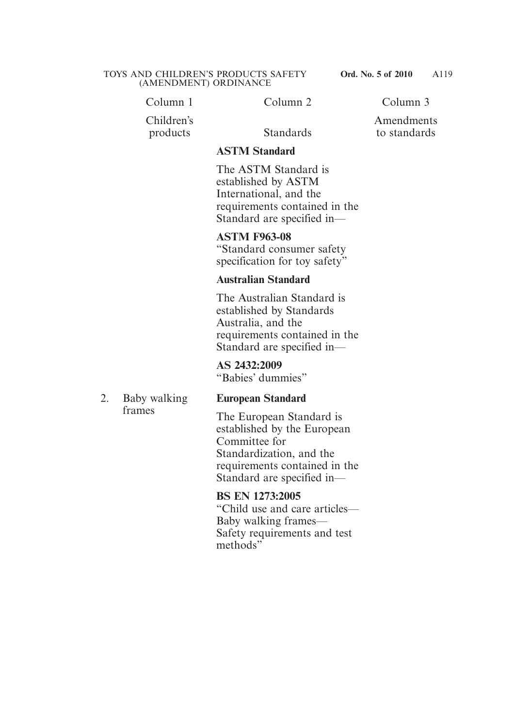Column 1 Column 2 Column 3

Children's products Standards

Amendments

to standards

#### **ASTM Standard**

The ASTM Standard is established by ASTM International, and the requirements contained in the Standard are specified in—

**ASTM F963-08** "Standard consumer safety specification for toy safety"

#### **Australian Standard**

The Australian Standard is established by Standards Australia, and the requirements contained in the Standard are specified in—

**AS 2432:2009** "Babies' dummies"

# **European Standard**

The European Standard is established by the European Committee for Standardization, and the requirements contained in the Standard are specified in—

#### **BS EN 1273:2005**

"Child use and care articles— Baby walking frames— Safety requirements and test methods"

2. Baby walking frames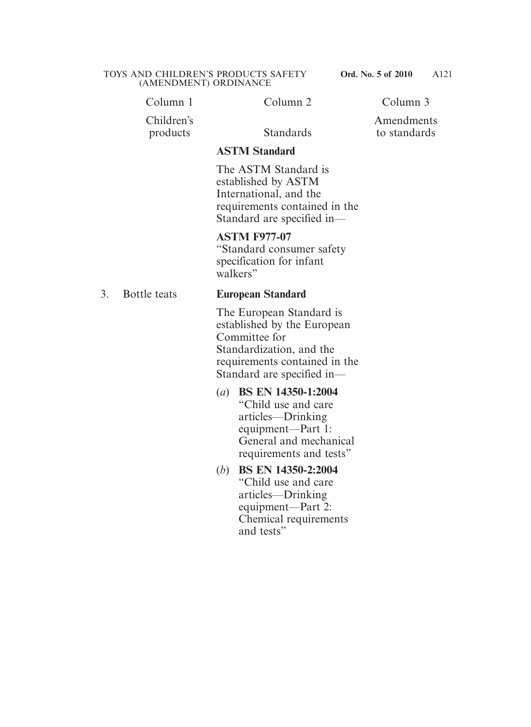| Column 3 |
|----------|
|          |

Children's products Standards

Amendments

to standards

#### **ASTM Standard**

The ASTM Standard is established by ASTM International, and the requirements contained in the Standard are specified in—

#### **ASTM F977-07**

"Standard consumer safety specification for infant walkers"

#### 3. Bottle teats **European Standard**

The European Standard is established by the European Committee for Standardization, and the requirements contained in the Standard are specified in—

- (*a*) **BS EN 14350-1:2004** "Child use and care articles—Drinking equipment—Part 1: General and mechanical requirements and tests"
- (*b*) **BS EN 14350-2:2004** "Child use and care articles—Drinking equipment—Part 2: Chemical requirements and tests"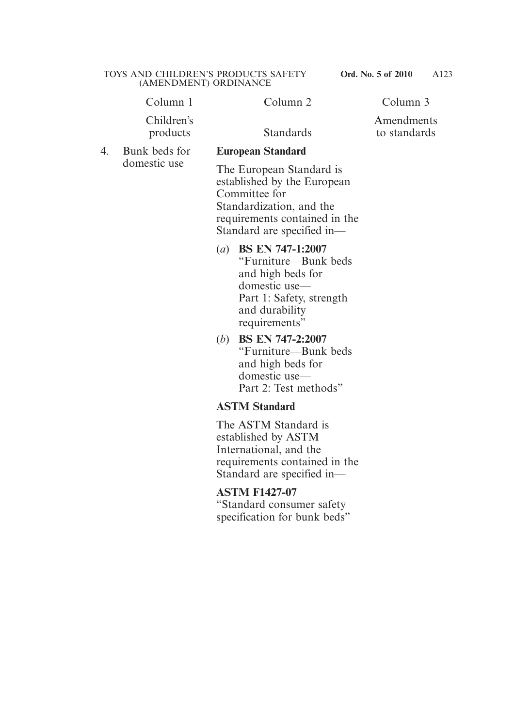Column 1 Column 2 Column 3

Children's products Standards

4. Bunk beds for domestic use

#### Amendments to standards

#### **European Standard**

The European Standard is established by the European Committee for Standardization, and the requirements contained in the Standard are specified in—

- (*a*) **BS EN 747-1:2007** "Furniture—Bunk beds and high beds for domestic use— Part 1: Safety, strength and durability requirements"
- (*b*) **BS EN 747-2:2007** "Furniture—Bunk beds and high beds for domestic use— Part 2: Test methods"

# **ASTM Standard**

The ASTM Standard is established by ASTM International, and the requirements contained in the Standard are specified in—

#### **ASTM F1427-07**

"Standard consumer safety specification for bunk beds"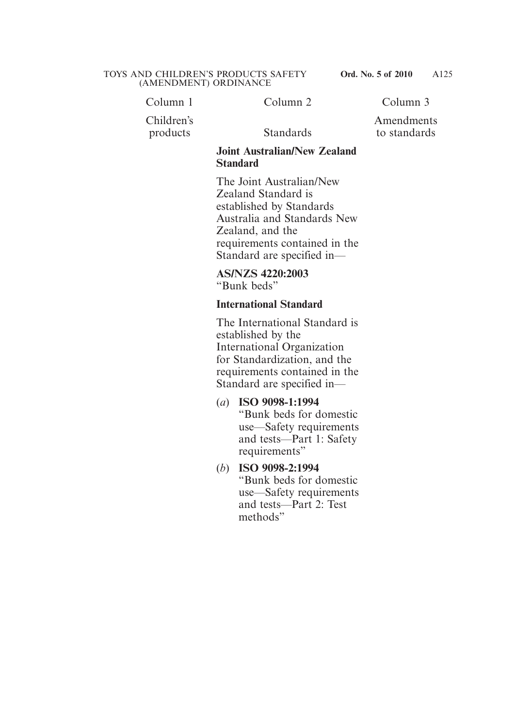Column 1 Column 2 Column 3

Children's

products Standards

Amendments to standards

#### **Joint Australian/New Zealand Standard**

The Joint Australian/New Zealand Standard is established by Standards Australia and Standards New Zealand, and the requirements contained in the Standard are specified in—

**AS/NZS 4220:2003** "Bunk beds"

# **International Standard**

The International Standard is established by the International Organization for Standardization, and the requirements contained in the Standard are specified in—

- (*a*) **ISO 9098-1:1994** "Bunk beds for domestic use—Safety requirements and tests—Part 1: Safety requirements"
- (*b*) **ISO 9098-2:1994** "Bunk beds for domestic use—Safety requirements and tests—Part 2: Test methods"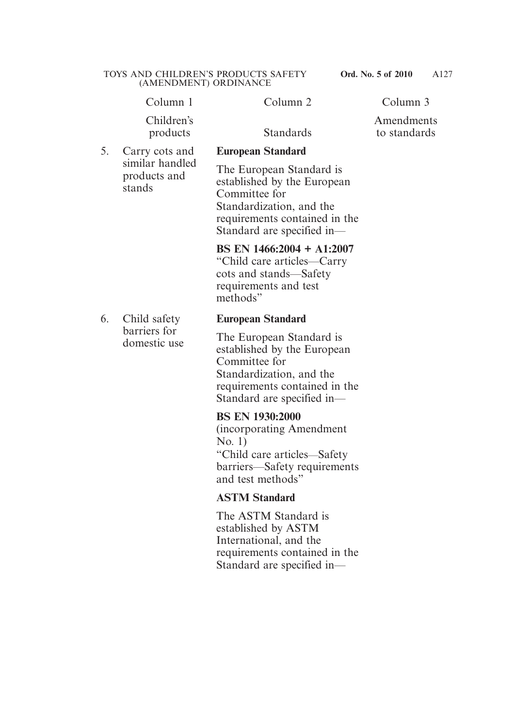Amendments to standards

Column 1 Column 2 Column 3

Children's products Standards

5. Carry cots and similar handled products and stands

6. Child safety barriers for domestic use

# **European Standard**

The European Standard is established by the European Committee for Standardization, and the requirements contained in the Standard are specified in—

## **BS EN 1466:2004 + A1:2007**

"Child care articles—Carry cots and stands—Safety requirements and test methods"

## **European Standard**

The European Standard is established by the European Committee for Standardization, and the requirements contained in the Standard are specified in—

#### **BS EN 1930:2000**

(incorporating Amendment No. 1) "Child care articles—Safety barriers—Safety requirements and test methods"

# **ASTM Standard**

The ASTM Standard is established by ASTM International, and the requirements contained in the Standard are specified in—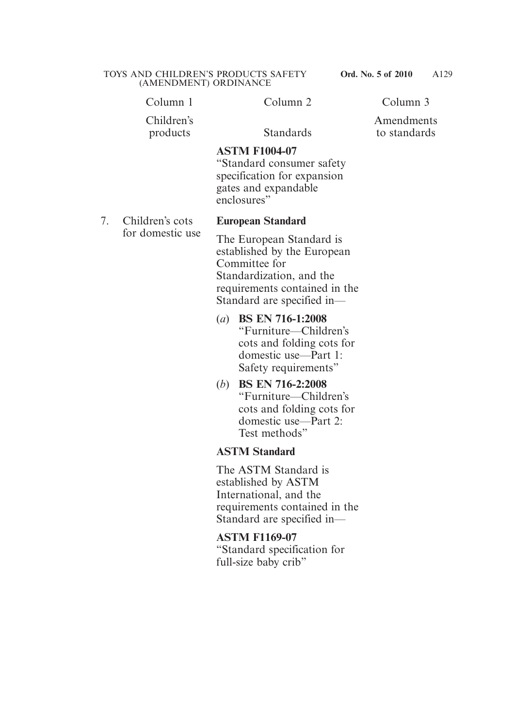Children's products Standards

Amendments

**ASTM F1004-07** "Standard consumer safety specification for expansion gates and expandable

7. Children's cots for domestic use

#### **European Standard**

enclosures"

The European Standard is established by the European Committee for Standardization, and the requirements contained in the Standard are specified in—

- (*a*) **BS EN 716-1:2008** "Furniture—Children's cots and folding cots for domestic use—Part 1: Safety requirements"
- (*b*) **BS EN 716-2:2008** "Furniture—Children's cots and folding cots for domestic use—Part 2: Test methods"

#### **ASTM Standard**

The ASTM Standard is established by ASTM International, and the requirements contained in the Standard are specified in—

#### **ASTM F1169-07**

"Standard specification for full-size baby crib"

to standards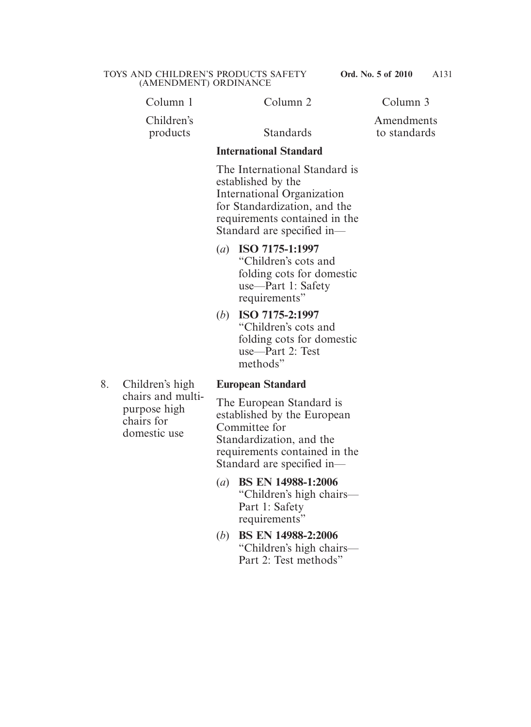Column 1 Column 2 Column 3

Children's products Standards

Amendments to standards

#### **International Standard**

The International Standard is established by the International Organization for Standardization, and the requirements contained in the Standard are specified in—

- (*a*) **ISO 7175-1:1997** "Children's cots and folding cots for domestic use—Part 1: Safety requirements"
- (*b*) **ISO 7175-2:1997** "Children's cots and folding cots for domestic use—Part 2: Test methods"
- 8. Children's high chairs and multipurpose high chairs for domestic use

# **European Standard**

The European Standard is established by the European Committee for Standardization, and the requirements contained in the Standard are specified in—

- (*a*) **BS EN 14988-1:2006** "Children's high chairs— Part 1: Safety requirements"
- (*b*) **BS EN 14988-2:2006** "Children's high chairs— Part 2: Test methods"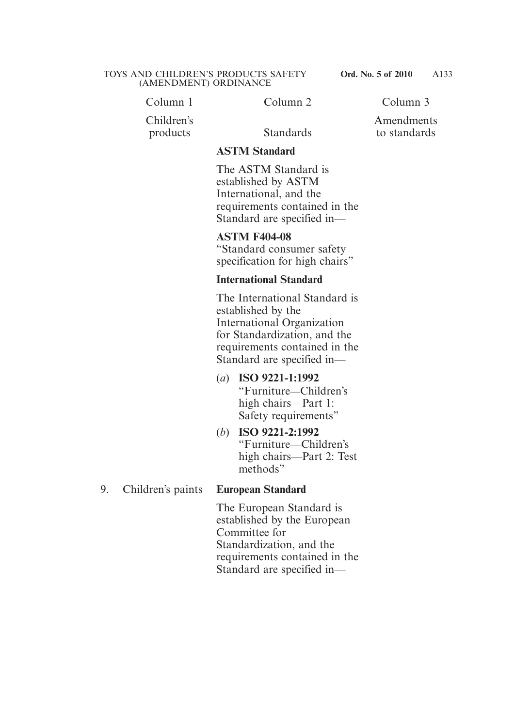Column 1 Column 2 Column 3

Children's products Standards

Amendments to standards

#### **ASTM Standard**

The ASTM Standard is established by ASTM International, and the requirements contained in the Standard are specified in—

**ASTM F404-08** 

"Standard consumer safety specification for high chairs"

#### **International Standard**

The International Standard is established by the International Organization for Standardization, and the requirements contained in the Standard are specified in—

- (*a*) **ISO 9221-1:1992** "Furniture—Children's high chairs—Part 1: Safety requirements"
- (*b*) **ISO 9221-2:1992** "Furniture—Children's high chairs—Part 2: Test methods"

#### 9. Children's paints **European Standard**

The European Standard is established by the European Committee for Standardization, and the requirements contained in the Standard are specified in—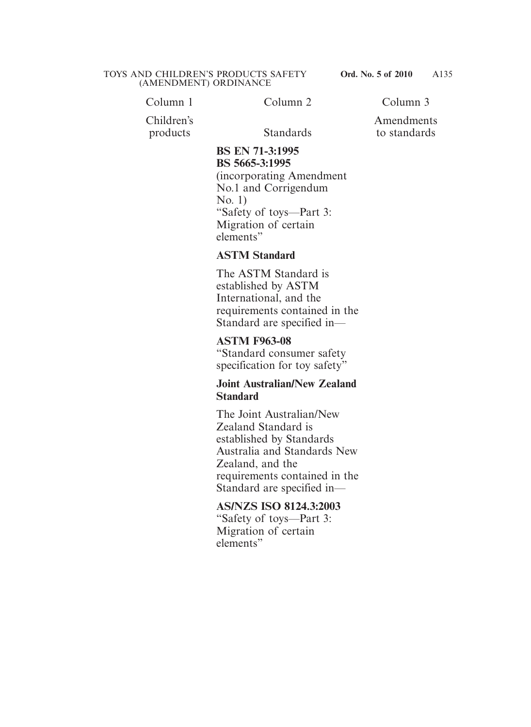Column 1 Column 2 Column 3

Amendments to standards

Children's products Standards

#### **BS EN 71-3:1995 BS 5665-3:1995**

(incorporating Amendment No.1 and Corrigendum No. 1) "Safety of toys—Part 3: Migration of certain elements"

## **ASTM Standard**

The ASTM Standard is established by ASTM International, and the requirements contained in the Standard are specified in—

## **ASTM F963-08**

"Standard consumer safety specification for toy safety"

#### **Joint Australian/New Zealand Standard**

The Joint Australian/New Zealand Standard is established by Standards Australia and Standards New Zealand, and the requirements contained in the Standard are specified in—

#### **AS/NZS ISO 8124.3:2003**

"Safety of toys—Part 3: Migration of certain elements"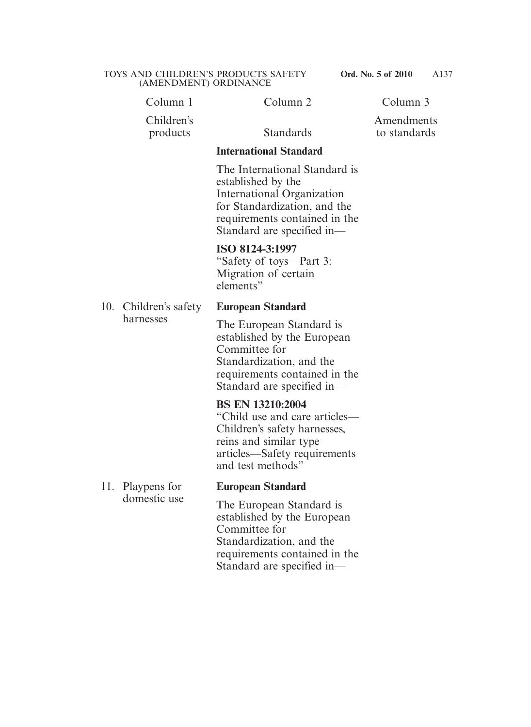Column 1 Column 2 Column 3

Children's products Standards

Amendments to standards

#### **International Standard**

The International Standard is established by the International Organization for Standardization, and the requirements contained in the Standard are specified in—

#### **ISO 8124-3:1997**

"Safety of toys—Part 3: Migration of certain elements"

10. Children's safety harnesses

#### **European Standard**

The European Standard is established by the European Committee for Standardization, and the requirements contained in the Standard are specified in—

#### **BS EN 13210:2004**

"Child use and care articles— Children's safety harnesses, reins and similar type articles—Safety requirements and test methods"

11. Playpens for domestic use

#### **European Standard**

The European Standard is established by the European Committee for Standardization, and the requirements contained in the Standard are specified in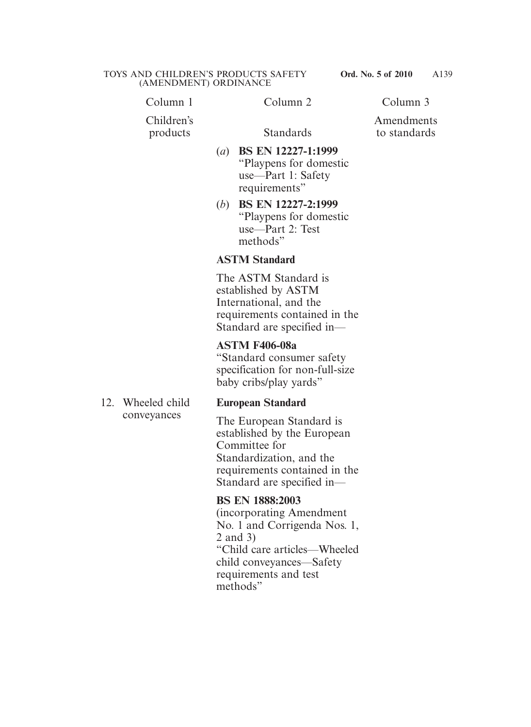Column 1 Column 2 Column 3

Children's products Standards

Amendments to standards

- (*a*) **BS EN 12227-1:1999** "Playpens for domestic use—Part 1: Safety requirements"
- (*b*) **BS EN 12227-2:1999** "Playpens for domestic use—Part 2: Test methods"

# **ASTM Standard**

The ASTM Standard is established by ASTM International, and the requirements contained in the Standard are specified in—

# **ASTM F406-08a**

"Standard consumer safety specification for non-full-size baby cribs/play yards"

12. Wheeled child conveyances

# **European Standard**

The European Standard is established by the European Committee for Standardization, and the requirements contained in the Standard are specified in—

**BS EN 1888:2003** (incorporating Amendment No. 1 and Corrigenda Nos. 1, 2 and 3) "Child care articles—Wheeled child conveyances—Safety requirements and test methods"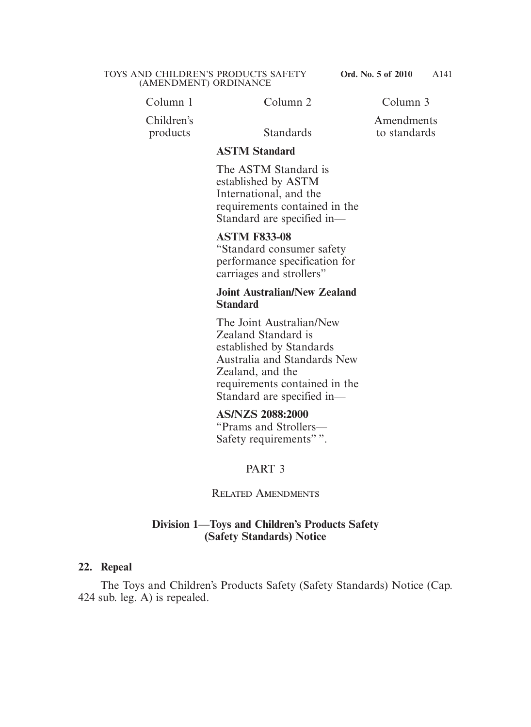Column 1 Column 2 Column 3

Children's products Standards

Amendments to standards

#### **ASTM Standard**

The ASTM Standard is established by ASTM International, and the requirements contained in the Standard are specified in—

#### **ASTM F833-08**

"Standard consumer safety performance specification for carriages and strollers"

#### **Joint Australian/New Zealand Standard**

The Joint Australian/New Zealand Standard is established by Standards Australia and Standards New Zealand, and the requirements contained in the Standard are specified in—

#### **AS/NZS 2088:2000**

"Prams and Strollers— Safety requirements"".

# PART 3

Related Amendments

#### **Division 1—Toys and Children's Products Safety (Safety Standards) Notice**

#### **22. Repeal**

 The Toys and Children's Products Safety (Safety Standards) Notice (Cap. 424 sub. leg. A) is repealed.